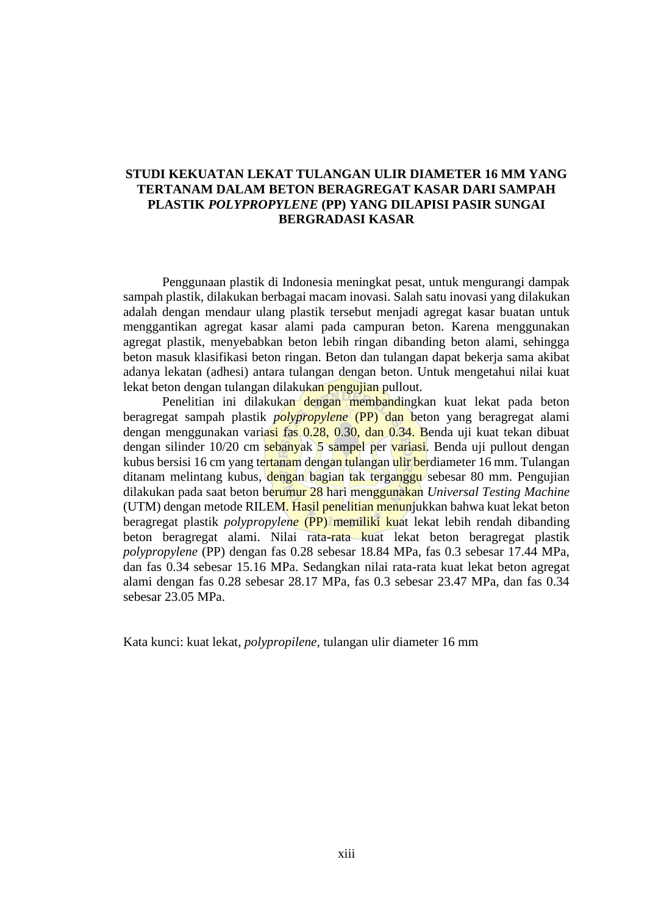## **STUDI KEKUATAN LEKAT TULANGAN ULIR DIAMETER 16 MM YANG TERTANAM DALAM BETON BERAGREGAT KASAR DARI SAMPAH PLASTIK** *POLYPROPYLENE* **(PP) YANG DILAPISI PASIR SUNGAI BERGRADASI KASAR**

Penggunaan plastik di Indonesia meningkat pesat, untuk mengurangi dampak sampah plastik, dilakukan berbagai macam inovasi. Salah satu inovasi yang dilakukan adalah dengan mendaur ulang plastik tersebut menjadi agregat kasar buatan untuk menggantikan agregat kasar alami pada campuran beton. Karena menggunakan agregat plastik, menyebabkan beton lebih ringan dibanding beton alami, sehingga beton masuk klasifikasi beton ringan. Beton dan tulangan dapat bekerja sama akibat adanya lekatan (adhesi) antara tulangan dengan beton. Untuk mengetahui nilai kuat lekat beton dengan tulangan dilakukan pengujian pullout.

Penelitian ini dilakukan dengan membandingkan kuat lekat pada beton beragregat sampah plastik *polypropylene* (PP) dan beton yang beragregat alami dengan menggunakan variasi fas 0.28, 0.30, dan 0.34. Benda uji kuat tekan dibuat dengan silinder 10/20 cm sebanyak 5 sampel per variasi. Benda uji pullout dengan kubus bersisi 16 cm yang tertanam dengan tulangan ulir berdiameter 16 mm. Tulangan ditanam melintang kubus, dengan bagian tak terganggu sebesar 80 mm. Pengujian dilakukan pada saat beton berumur 28 hari menggunakan *Universal Testing Machine* (UTM) dengan metode RILEM. Hasil penelitian menunjukkan bahwa kuat lekat beton beragregat plastik *polypropylene* (PP) memiliki kuat lekat lebih rendah dibanding beton beragregat alami. Nilai rata-rata kuat lekat beton beragregat plastik *polypropylene* (PP) dengan fas 0.28 sebesar 18.84 MPa, fas 0.3 sebesar 17.44 MPa, dan fas 0.34 sebesar 15.16 MPa. Sedangkan nilai rata-rata kuat lekat beton agregat alami dengan fas 0.28 sebesar 28.17 MPa, fas 0.3 sebesar 23.47 MPa, dan fas 0.34 sebesar 23.05 MPa.

Kata kunci: kuat lekat, *polypropilene,* tulangan ulir diameter 16 mm